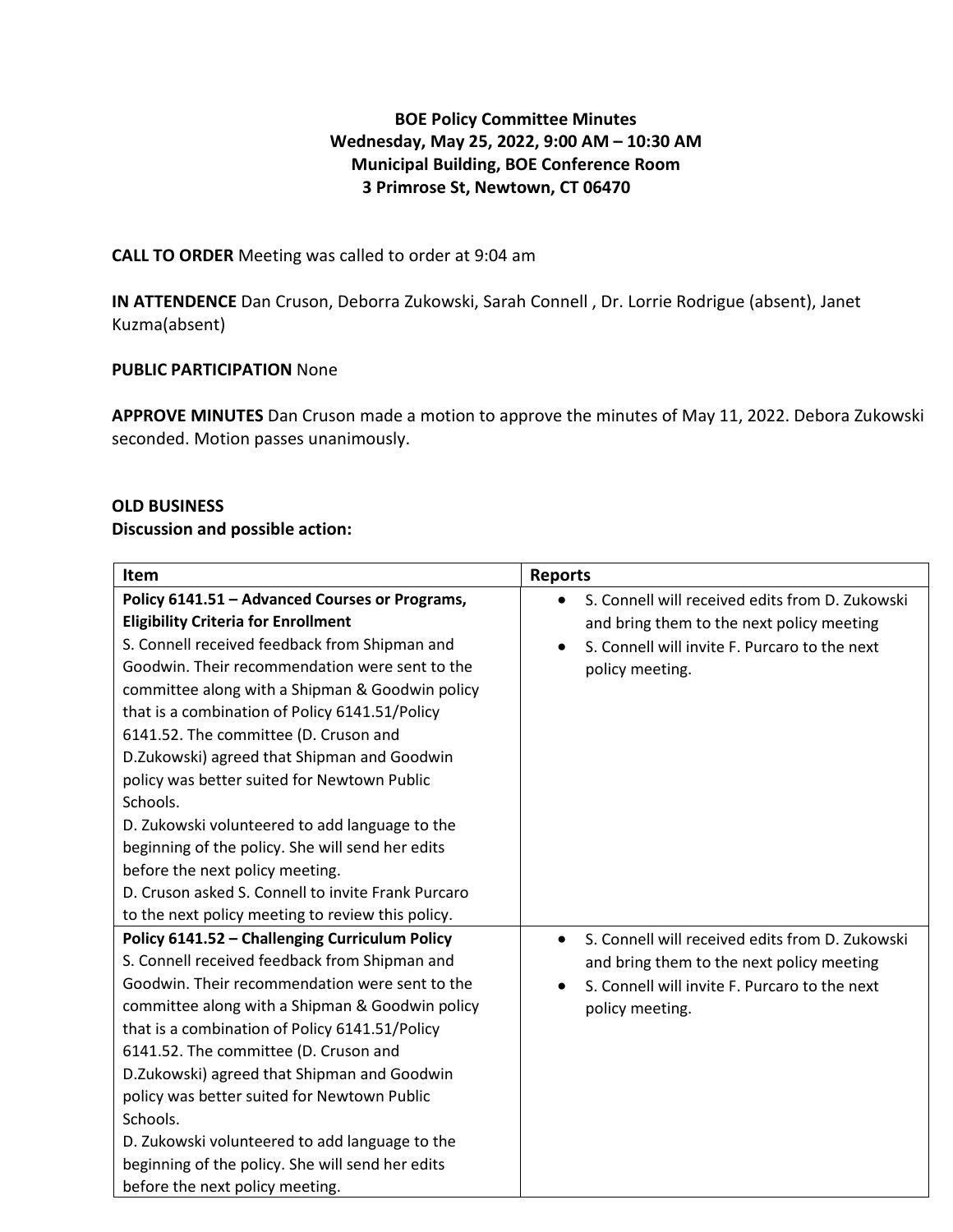# **BOE Policy Committee Minutes Wednesday, May 25, 2022, 9:00 AM – 10:30 AM Municipal Building, BOE Conference Room 3 Primrose St, Newtown, CT 06470**

## **CALL TO ORDER** Meeting was called to order at 9:04 am

**IN ATTENDENCE** Dan Cruson, Deborra Zukowski, Sarah Connell , Dr. Lorrie Rodrigue (absent), Janet Kuzma(absent)

## **PUBLIC PARTICIPATION** None

**APPROVE MINUTES** Dan Cruson made a motion to approve the minutes of May 11, 2022. Debora Zukowski seconded. Motion passes unanimously.

#### **OLD BUSINESS**

#### **Discussion and possible action:**

| Item                                                                                                                                                                                                                                                                                                                                                                                                                                                                                                                                               | <b>Reports</b>                                                                                                                                                                |
|----------------------------------------------------------------------------------------------------------------------------------------------------------------------------------------------------------------------------------------------------------------------------------------------------------------------------------------------------------------------------------------------------------------------------------------------------------------------------------------------------------------------------------------------------|-------------------------------------------------------------------------------------------------------------------------------------------------------------------------------|
| Policy 6141.51 - Advanced Courses or Programs,<br><b>Eligibility Criteria for Enrollment</b><br>S. Connell received feedback from Shipman and<br>Goodwin. Their recommendation were sent to the<br>committee along with a Shipman & Goodwin policy<br>that is a combination of Policy 6141.51/Policy                                                                                                                                                                                                                                               | S. Connell will received edits from D. Zukowski<br>and bring them to the next policy meeting<br>S. Connell will invite F. Purcaro to the next<br>policy meeting.              |
| 6141.52. The committee (D. Cruson and<br>D.Zukowski) agreed that Shipman and Goodwin<br>policy was better suited for Newtown Public<br>Schools.<br>D. Zukowski volunteered to add language to the<br>beginning of the policy. She will send her edits<br>before the next policy meeting.<br>D. Cruson asked S. Connell to invite Frank Purcaro                                                                                                                                                                                                     |                                                                                                                                                                               |
| to the next policy meeting to review this policy.                                                                                                                                                                                                                                                                                                                                                                                                                                                                                                  |                                                                                                                                                                               |
| Policy 6141.52 - Challenging Curriculum Policy<br>S. Connell received feedback from Shipman and<br>Goodwin. Their recommendation were sent to the<br>committee along with a Shipman & Goodwin policy<br>that is a combination of Policy 6141.51/Policy<br>6141.52. The committee (D. Cruson and<br>D.Zukowski) agreed that Shipman and Goodwin<br>policy was better suited for Newtown Public<br>Schools.<br>D. Zukowski volunteered to add language to the<br>beginning of the policy. She will send her edits<br>before the next policy meeting. | S. Connell will received edits from D. Zukowski<br>$\bullet$<br>and bring them to the next policy meeting<br>S. Connell will invite F. Purcaro to the next<br>policy meeting. |